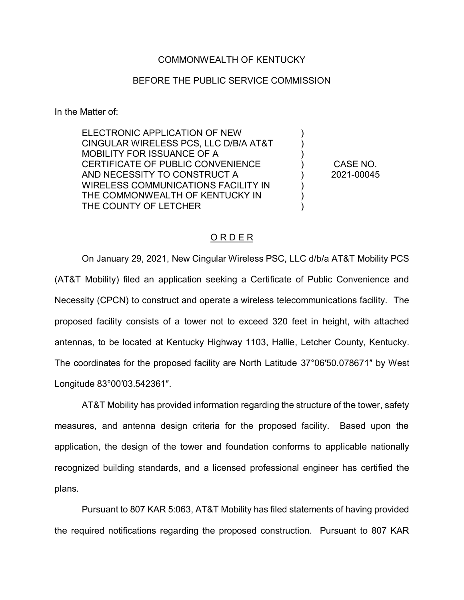## COMMONWEALTH OF KENTUCKY

## BEFORE THE PUBLIC SERVICE COMMISSION

In the Matter of:

ELECTRONIC APPLICATION OF NEW CINGULAR WIRELESS PCS, LLC D/B/A AT&T MOBILITY FOR ISSUANCE OF A CERTIFICATE OF PUBLIC CONVENIENCE AND NECESSITY TO CONSTRUCT A WIRELESS COMMUNICATIONS FACILITY IN THE COMMONWEALTH OF KENTUCKY IN THE COUNTY OF LETCHER

CASE NO. 2021-00045

) ) ) ) ) ) ) )

## O R D E R

On January 29, 2021, New Cingular Wireless PSC, LLC d/b/a AT&T Mobility PCS (AT&T Mobility) filed an application seeking a Certificate of Public Convenience and Necessity (CPCN) to construct and operate a wireless telecommunications facility. The proposed facility consists of a tower not to exceed 320 feet in height, with attached antennas, to be located at Kentucky Highway 1103, Hallie, Letcher County, Kentucky. The coordinates for the proposed facility are North Latitude 37°06′50.078671″ by West Longitude 83°00′03.542361″.

AT&T Mobility has provided information regarding the structure of the tower, safety measures, and antenna design criteria for the proposed facility. Based upon the application, the design of the tower and foundation conforms to applicable nationally recognized building standards, and a licensed professional engineer has certified the plans.

Pursuant to 807 KAR 5:063, AT&T Mobility has filed statements of having provided the required notifications regarding the proposed construction. Pursuant to 807 KAR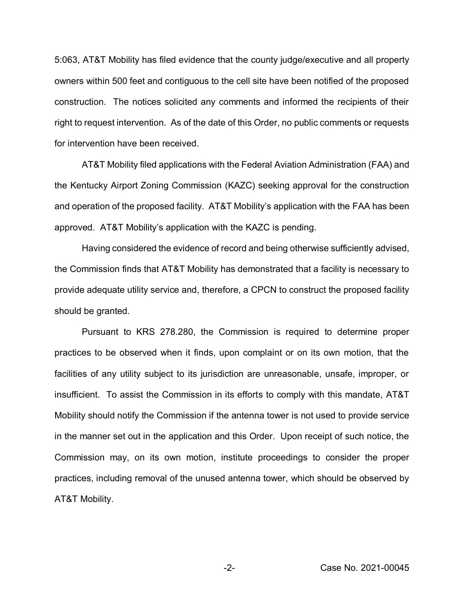5:063, AT&T Mobility has filed evidence that the county judge/executive and all property owners within 500 feet and contiguous to the cell site have been notified of the proposed construction. The notices solicited any comments and informed the recipients of their right to request intervention. As of the date of this Order, no public comments or requests for intervention have been received.

AT&T Mobility filed applications with the Federal Aviation Administration (FAA) and the Kentucky Airport Zoning Commission (KAZC) seeking approval for the construction and operation of the proposed facility. AT&T Mobility's application with the FAA has been approved. AT&T Mobility's application with the KAZC is pending.

Having considered the evidence of record and being otherwise sufficiently advised, the Commission finds that AT&T Mobility has demonstrated that a facility is necessary to provide adequate utility service and, therefore, a CPCN to construct the proposed facility should be granted.

Pursuant to KRS 278.280, the Commission is required to determine proper practices to be observed when it finds, upon complaint or on its own motion, that the facilities of any utility subject to its jurisdiction are unreasonable, unsafe, improper, or insufficient. To assist the Commission in its efforts to comply with this mandate, AT&T Mobility should notify the Commission if the antenna tower is not used to provide service in the manner set out in the application and this Order. Upon receipt of such notice, the Commission may, on its own motion, institute proceedings to consider the proper practices, including removal of the unused antenna tower, which should be observed by AT&T Mobility.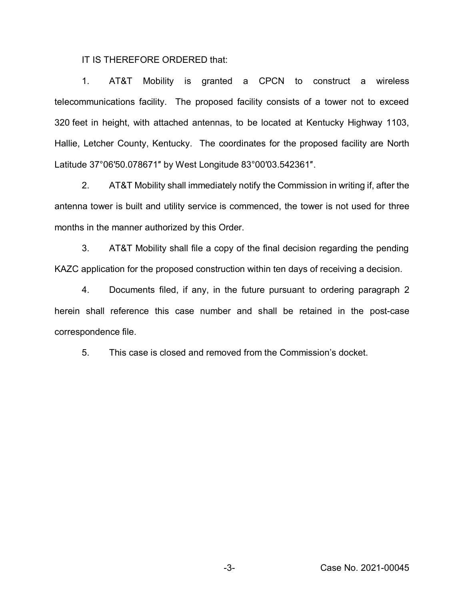IT IS THEREFORE ORDERED that:

1. AT&T Mobility is granted a CPCN to construct a wireless telecommunications facility. The proposed facility consists of a tower not to exceed 320 feet in height, with attached antennas, to be located at Kentucky Highway 1103, Hallie, Letcher County, Kentucky. The coordinates for the proposed facility are North Latitude 37°06′50.078671″ by West Longitude 83°00′03.542361″.

2. AT&T Mobility shall immediately notify the Commission in writing if, after the antenna tower is built and utility service is commenced, the tower is not used for three months in the manner authorized by this Order.

3. AT&T Mobility shall file a copy of the final decision regarding the pending KAZC application for the proposed construction within ten days of receiving a decision.

4. Documents filed, if any, in the future pursuant to ordering paragraph 2 herein shall reference this case number and shall be retained in the post-case correspondence file.

5. This case is closed and removed from the Commission's docket.

-3- Case No. 2021-00045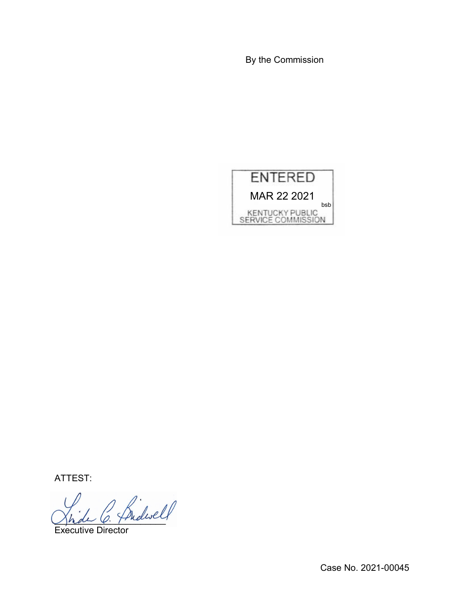By the Commission



ATTEST:

Shale O. Fridance

Executive Director

Case No. 2021-00045